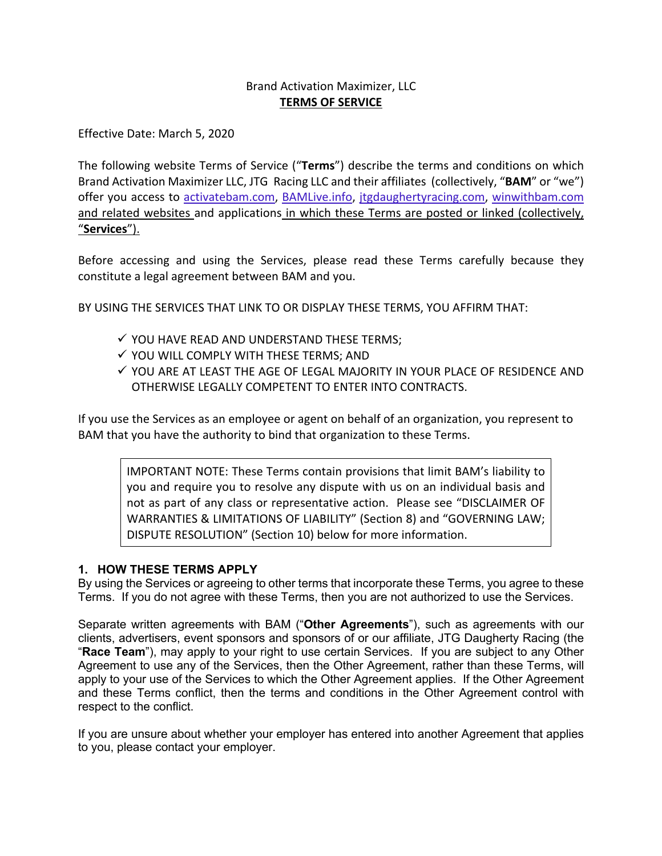# Brand Activation Maximizer, LLC **TERMS OF SERVICE**

Effective Date: March 5, 2020

The following website Terms of Service ("**Terms**") describe the terms and conditions on which Brand Activation Maximizer LLC, JTG Racing LLC and their affiliates (collectively, "**BAM**" or "we") offer you access to activatebam.com, BAMLive.info, jtgdaughertyracing.com, winwithbam.com and related websites and applications in which these Terms are posted or linked (collectively, "**Services**").

Before accessing and using the Services, please read these Terms carefully because they constitute a legal agreement between BAM and you.

BY USING THE SERVICES THAT LINK TO OR DISPLAY THESE TERMS, YOU AFFIRM THAT:

- $\checkmark$  YOU HAVE READ AND UNDERSTAND THESE TERMS;
- $\checkmark$  YOU WILL COMPLY WITH THESE TERMS; AND
- $\checkmark$  you are at least the AGE OF LEGAL MAJORITY IN YOUR PLACE OF RESIDENCE AND OTHERWISE LEGALLY COMPETENT TO ENTER INTO CONTRACTS.

If you use the Services as an employee or agent on behalf of an organization, you represent to BAM that you have the authority to bind that organization to these Terms.

IMPORTANT NOTE: These Terms contain provisions that limit BAM's liability to you and require you to resolve any dispute with us on an individual basis and not as part of any class or representative action. Please see "DISCLAIMER OF WARRANTIES & LIMITATIONS OF LIABILITY" (Section 8) and "GOVERNING LAW; DISPUTE RESOLUTION" (Section 10) below for more information.

## **1. HOW THESE TERMS APPLY**

By using the Services or agreeing to other terms that incorporate these Terms, you agree to these Terms. If you do not agree with these Terms, then you are not authorized to use the Services.

Separate written agreements with BAM ("**Other Agreements**"), such as agreements with our clients, advertisers, event sponsors and sponsors of or our affiliate, JTG Daugherty Racing (the "**Race Team**"), may apply to your right to use certain Services. If you are subject to any Other Agreement to use any of the Services, then the Other Agreement, rather than these Terms, will apply to your use of the Services to which the Other Agreement applies. If the Other Agreement and these Terms conflict, then the terms and conditions in the Other Agreement control with respect to the conflict.

If you are unsure about whether your employer has entered into another Agreement that applies to you, please contact your employer.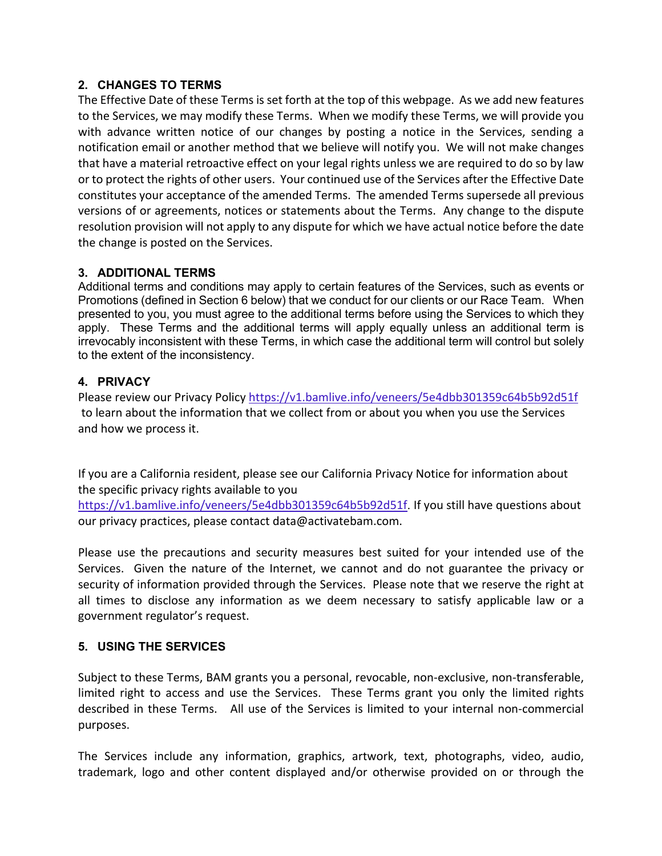## **2. CHANGES TO TERMS**

The Effective Date of these Terms is set forth at the top of this webpage. As we add new features to the Services, we may modify these Terms. When we modify these Terms, we will provide you with advance written notice of our changes by posting a notice in the Services, sending a notification email or another method that we believe will notify you. We will not make changes that have a material retroactive effect on your legal rights unless we are required to do so by law or to protect the rights of other users. Your continued use of the Services after the Effective Date constitutes your acceptance of the amended Terms. The amended Terms supersede all previous versions of or agreements, notices or statements about the Terms. Any change to the dispute resolution provision will not apply to any dispute for which we have actual notice before the date the change is posted on the Services.

## **3. ADDITIONAL TERMS**

Additional terms and conditions may apply to certain features of the Services, such as events or Promotions (defined in Section 6 below) that we conduct for our clients or our Race Team. When presented to you, you must agree to the additional terms before using the Services to which they apply. These Terms and the additional terms will apply equally unless an additional term is irrevocably inconsistent with these Terms, in which case the additional term will control but solely to the extent of the inconsistency.

## **4. PRIVACY**

Please review our Privacy Policy https://v1.bamlive.info/veneers/5e4dbb301359c64b5b92d51f to learn about the information that we collect from or about you when you use the Services and how we process it.

If you are a California resident, please see our California Privacy Notice for information about the specific privacy rights available to you

https://v1.bamlive.info/veneers/5e4dbb301359c64b5b92d51f. If you still have questions about our privacy practices, please contact data@activatebam.com.

Please use the precautions and security measures best suited for your intended use of the Services. Given the nature of the Internet, we cannot and do not guarantee the privacy or security of information provided through the Services. Please note that we reserve the right at all times to disclose any information as we deem necessary to satisfy applicable law or a government regulator's request.

## **5. USING THE SERVICES**

Subject to these Terms, BAM grants you a personal, revocable, non-exclusive, non-transferable, limited right to access and use the Services. These Terms grant you only the limited rights described in these Terms. All use of the Services is limited to your internal non-commercial purposes.

The Services include any information, graphics, artwork, text, photographs, video, audio, trademark, logo and other content displayed and/or otherwise provided on or through the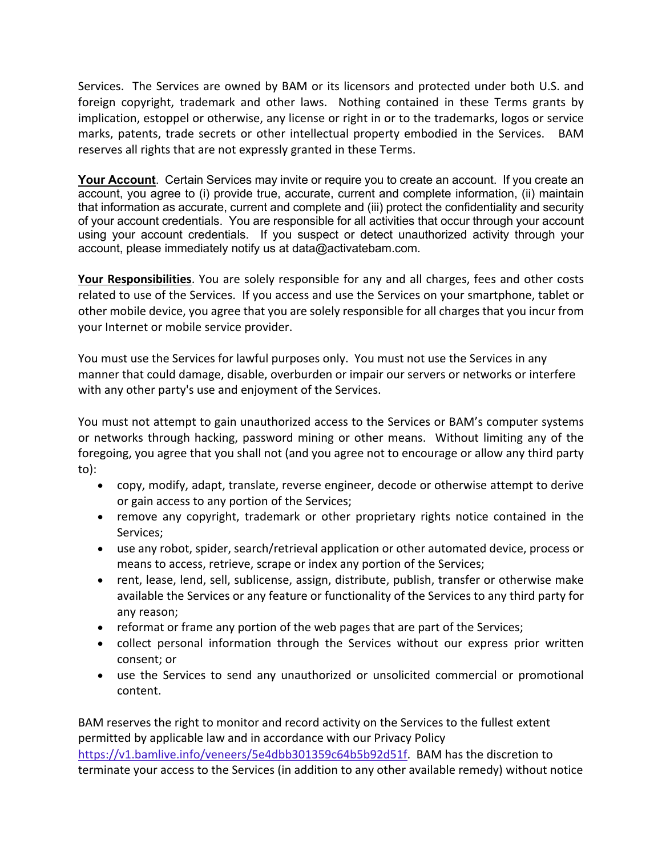Services. The Services are owned by BAM or its licensors and protected under both U.S. and foreign copyright, trademark and other laws. Nothing contained in these Terms grants by implication, estoppel or otherwise, any license or right in or to the trademarks, logos or service marks, patents, trade secrets or other intellectual property embodied in the Services. BAM reserves all rights that are not expressly granted in these Terms.

**Your Account**. Certain Services may invite or require you to create an account. If you create an account, you agree to (i) provide true, accurate, current and complete information, (ii) maintain that information as accurate, current and complete and (iii) protect the confidentiality and security of your account credentials. You are responsible for all activities that occur through your account using your account credentials. If you suspect or detect unauthorized activity through your account, please immediately notify us at data@activatebam.com.

**Your Responsibilities**. You are solely responsible for any and all charges, fees and other costs related to use of the Services. If you access and use the Services on your smartphone, tablet or other mobile device, you agree that you are solely responsible for all charges that you incur from your Internet or mobile service provider.

You must use the Services for lawful purposes only. You must not use the Services in any manner that could damage, disable, overburden or impair our servers or networks or interfere with any other party's use and enjoyment of the Services.

You must not attempt to gain unauthorized access to the Services or BAM's computer systems or networks through hacking, password mining or other means. Without limiting any of the foregoing, you agree that you shall not (and you agree not to encourage or allow any third party to):

- copy, modify, adapt, translate, reverse engineer, decode or otherwise attempt to derive or gain access to any portion of the Services;
- remove any copyright, trademark or other proprietary rights notice contained in the Services;
- use any robot, spider, search/retrieval application or other automated device, process or means to access, retrieve, scrape or index any portion of the Services;
- rent, lease, lend, sell, sublicense, assign, distribute, publish, transfer or otherwise make available the Services or any feature or functionality of the Services to any third party for any reason;
- reformat or frame any portion of the web pages that are part of the Services;
- collect personal information through the Services without our express prior written consent; or
- use the Services to send any unauthorized or unsolicited commercial or promotional content.

BAM reserves the right to monitor and record activity on the Services to the fullest extent permitted by applicable law and in accordance with our Privacy Policy https://v1.bamlive.info/veneers/5e4dbb301359c64b5b92d51f. BAM has the discretion to terminate your access to the Services (in addition to any other available remedy) without notice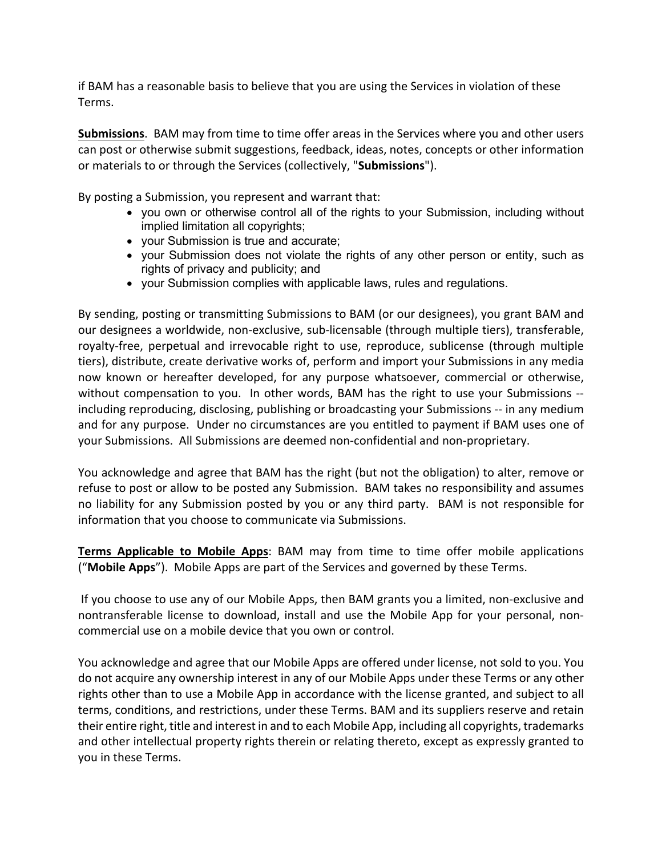if BAM has a reasonable basis to believe that you are using the Services in violation of these Terms.

**Submissions**. BAM may from time to time offer areas in the Services where you and other users can post or otherwise submit suggestions, feedback, ideas, notes, concepts or other information or materials to or through the Services (collectively, "**Submissions**").

By posting a Submission, you represent and warrant that:

- you own or otherwise control all of the rights to your Submission, including without implied limitation all copyrights;
- your Submission is true and accurate;
- your Submission does not violate the rights of any other person or entity, such as rights of privacy and publicity; and
- your Submission complies with applicable laws, rules and regulations.

By sending, posting or transmitting Submissions to BAM (or our designees), you grant BAM and our designees a worldwide, non-exclusive, sub-licensable (through multiple tiers), transferable, royalty-free, perpetual and irrevocable right to use, reproduce, sublicense (through multiple tiers), distribute, create derivative works of, perform and import your Submissions in any media now known or hereafter developed, for any purpose whatsoever, commercial or otherwise, without compensation to you. In other words, BAM has the right to use your Submissions - including reproducing, disclosing, publishing or broadcasting your Submissions -- in any medium and for any purpose. Under no circumstances are you entitled to payment if BAM uses one of your Submissions. All Submissions are deemed non-confidential and non-proprietary.

You acknowledge and agree that BAM has the right (but not the obligation) to alter, remove or refuse to post or allow to be posted any Submission. BAM takes no responsibility and assumes no liability for any Submission posted by you or any third party. BAM is not responsible for information that you choose to communicate via Submissions.

**Terms Applicable to Mobile Apps**: BAM may from time to time offer mobile applications ("**Mobile Apps**"). Mobile Apps are part of the Services and governed by these Terms.

If you choose to use any of our Mobile Apps, then BAM grants you a limited, non-exclusive and nontransferable license to download, install and use the Mobile App for your personal, noncommercial use on a mobile device that you own or control.

You acknowledge and agree that our Mobile Apps are offered under license, not sold to you. You do not acquire any ownership interest in any of our Mobile Apps under these Terms or any other rights other than to use a Mobile App in accordance with the license granted, and subject to all terms, conditions, and restrictions, under these Terms. BAM and its suppliers reserve and retain their entire right, title and interest in and to each Mobile App, including all copyrights, trademarks and other intellectual property rights therein or relating thereto, except as expressly granted to you in these Terms.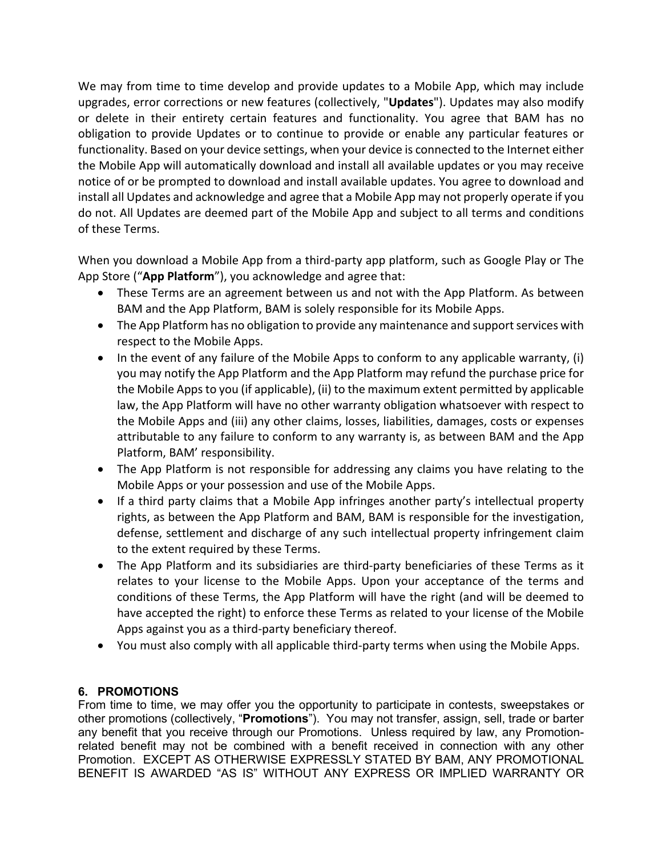We may from time to time develop and provide updates to a Mobile App, which may include upgrades, error corrections or new features (collectively, "**Updates**"). Updates may also modify or delete in their entirety certain features and functionality. You agree that BAM has no obligation to provide Updates or to continue to provide or enable any particular features or functionality. Based on your device settings, when your device is connected to the Internet either the Mobile App will automatically download and install all available updates or you may receive notice of or be prompted to download and install available updates. You agree to download and install all Updates and acknowledge and agree that a Mobile App may not properly operate if you do not. All Updates are deemed part of the Mobile App and subject to all terms and conditions of these Terms.

When you download a Mobile App from a third-party app platform, such as Google Play or The App Store ("**App Platform**"), you acknowledge and agree that:

- These Terms are an agreement between us and not with the App Platform. As between BAM and the App Platform, BAM is solely responsible for its Mobile Apps.
- The App Platform has no obligation to provide any maintenance and support services with respect to the Mobile Apps.
- In the event of any failure of the Mobile Apps to conform to any applicable warranty, (i) you may notify the App Platform and the App Platform may refund the purchase price for the Mobile Apps to you (if applicable), (ii) to the maximum extent permitted by applicable law, the App Platform will have no other warranty obligation whatsoever with respect to the Mobile Apps and (iii) any other claims, losses, liabilities, damages, costs or expenses attributable to any failure to conform to any warranty is, as between BAM and the App Platform, BAM' responsibility.
- The App Platform is not responsible for addressing any claims you have relating to the Mobile Apps or your possession and use of the Mobile Apps.
- If a third party claims that a Mobile App infringes another party's intellectual property rights, as between the App Platform and BAM, BAM is responsible for the investigation, defense, settlement and discharge of any such intellectual property infringement claim to the extent required by these Terms.
- The App Platform and its subsidiaries are third-party beneficiaries of these Terms as it relates to your license to the Mobile Apps. Upon your acceptance of the terms and conditions of these Terms, the App Platform will have the right (and will be deemed to have accepted the right) to enforce these Terms as related to your license of the Mobile Apps against you as a third-party beneficiary thereof.
- You must also comply with all applicable third-party terms when using the Mobile Apps.

# **6. PROMOTIONS**

From time to time, we may offer you the opportunity to participate in contests, sweepstakes or other promotions (collectively, "**Promotions**"). You may not transfer, assign, sell, trade or barter any benefit that you receive through our Promotions. Unless required by law, any Promotionrelated benefit may not be combined with a benefit received in connection with any other Promotion. EXCEPT AS OTHERWISE EXPRESSLY STATED BY BAM, ANY PROMOTIONAL BENEFIT IS AWARDED "AS IS" WITHOUT ANY EXPRESS OR IMPLIED WARRANTY OR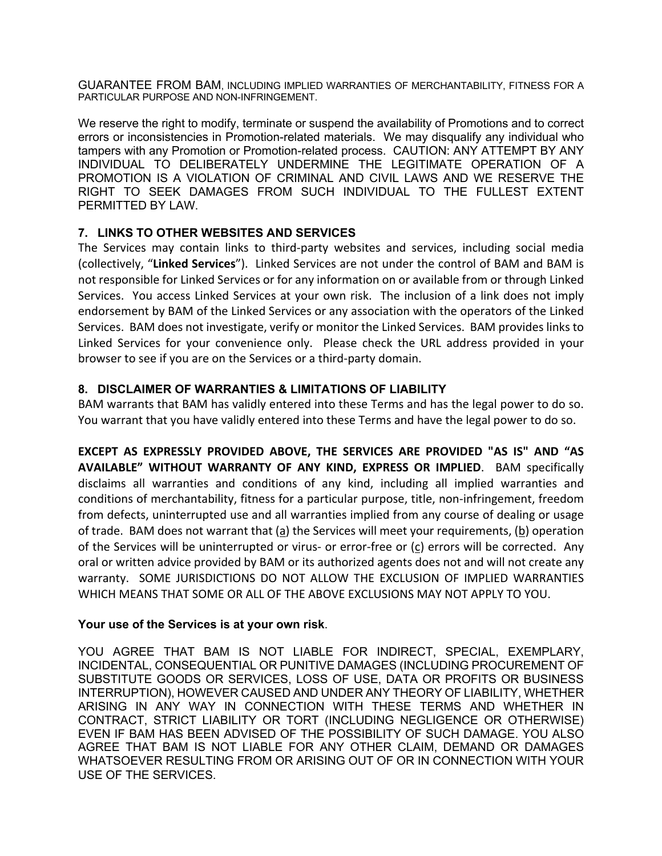GUARANTEE FROM BAM, INCLUDING IMPLIED WARRANTIES OF MERCHANTABILITY, FITNESS FOR A PARTICULAR PURPOSE AND NON-INFRINGEMENT.

We reserve the right to modify, terminate or suspend the availability of Promotions and to correct errors or inconsistencies in Promotion-related materials. We may disqualify any individual who tampers with any Promotion or Promotion-related process. CAUTION: ANY ATTEMPT BY ANY INDIVIDUAL TO DELIBERATELY UNDERMINE THE LEGITIMATE OPERATION OF A PROMOTION IS A VIOLATION OF CRIMINAL AND CIVIL LAWS AND WE RESERVE THE RIGHT TO SEEK DAMAGES FROM SUCH INDIVIDUAL TO THE FULLEST EXTENT PERMITTED BY LAW.

## **7. LINKS TO OTHER WEBSITES AND SERVICES**

The Services may contain links to third-party websites and services, including social media (collectively, "**Linked Services**"). Linked Services are not under the control of BAM and BAM is not responsible for Linked Services or for any information on or available from or through Linked Services. You access Linked Services at your own risk. The inclusion of a link does not imply endorsement by BAM of the Linked Services or any association with the operators of the Linked Services. BAM does not investigate, verify or monitor the Linked Services. BAM provides links to Linked Services for your convenience only. Please check the URL address provided in your browser to see if you are on the Services or a third-party domain.

## **8. DISCLAIMER OF WARRANTIES & LIMITATIONS OF LIABILITY**

BAM warrants that BAM has validly entered into these Terms and has the legal power to do so. You warrant that you have validly entered into these Terms and have the legal power to do so.

**EXCEPT AS EXPRESSLY PROVIDED ABOVE, THE SERVICES ARE PROVIDED "AS IS" AND "AS AVAILABLE" WITHOUT WARRANTY OF ANY KIND, EXPRESS OR IMPLIED**. BAM specifically disclaims all warranties and conditions of any kind, including all implied warranties and conditions of merchantability, fitness for a particular purpose, title, non-infringement, freedom from defects, uninterrupted use and all warranties implied from any course of dealing or usage of trade. BAM does not warrant that (a) the Services will meet your requirements, (b) operation of the Services will be uninterrupted or virus- or error-free or (c) errors will be corrected. Any oral or written advice provided by BAM or its authorized agents does not and will not create any warranty. SOME JURISDICTIONS DO NOT ALLOW THE EXCLUSION OF IMPLIED WARRANTIES WHICH MEANS THAT SOME OR ALL OF THE ABOVE EXCLUSIONS MAY NOT APPLY TO YOU.

## **Your use of the Services is at your own risk**.

YOU AGREE THAT BAM IS NOT LIABLE FOR INDIRECT, SPECIAL, EXEMPLARY, INCIDENTAL, CONSEQUENTIAL OR PUNITIVE DAMAGES (INCLUDING PROCUREMENT OF SUBSTITUTE GOODS OR SERVICES, LOSS OF USE, DATA OR PROFITS OR BUSINESS INTERRUPTION), HOWEVER CAUSED AND UNDER ANY THEORY OF LIABILITY, WHETHER ARISING IN ANY WAY IN CONNECTION WITH THESE TERMS AND WHETHER IN CONTRACT, STRICT LIABILITY OR TORT (INCLUDING NEGLIGENCE OR OTHERWISE) EVEN IF BAM HAS BEEN ADVISED OF THE POSSIBILITY OF SUCH DAMAGE. YOU ALSO AGREE THAT BAM IS NOT LIABLE FOR ANY OTHER CLAIM, DEMAND OR DAMAGES WHATSOEVER RESULTING FROM OR ARISING OUT OF OR IN CONNECTION WITH YOUR USE OF THE SERVICES.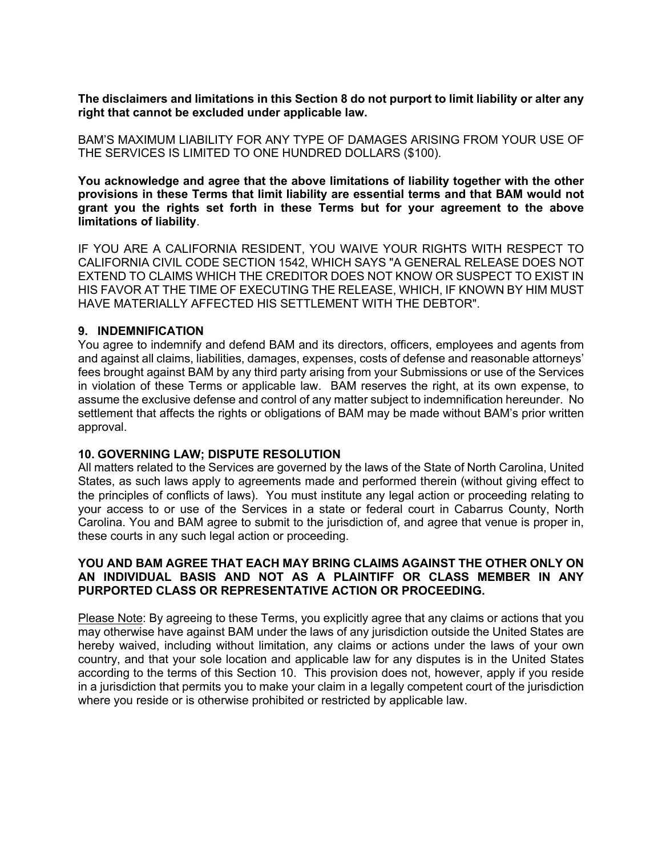**The disclaimers and limitations in this Section 8 do not purport to limit liability or alter any right that cannot be excluded under applicable law.**

BAM'S MAXIMUM LIABILITY FOR ANY TYPE OF DAMAGES ARISING FROM YOUR USE OF THE SERVICES IS LIMITED TO ONE HUNDRED DOLLARS (\$100).

**You acknowledge and agree that the above limitations of liability together with the other provisions in these Terms that limit liability are essential terms and that BAM would not grant you the rights set forth in these Terms but for your agreement to the above limitations of liability**.

IF YOU ARE A CALIFORNIA RESIDENT, YOU WAIVE YOUR RIGHTS WITH RESPECT TO CALIFORNIA CIVIL CODE SECTION 1542, WHICH SAYS "A GENERAL RELEASE DOES NOT EXTEND TO CLAIMS WHICH THE CREDITOR DOES NOT KNOW OR SUSPECT TO EXIST IN HIS FAVOR AT THE TIME OF EXECUTING THE RELEASE, WHICH, IF KNOWN BY HIM MUST HAVE MATERIALLY AFFECTED HIS SETTLEMENT WITH THE DEBTOR".

#### **9. INDEMNIFICATION**

You agree to indemnify and defend BAM and its directors, officers, employees and agents from and against all claims, liabilities, damages, expenses, costs of defense and reasonable attorneys' fees brought against BAM by any third party arising from your Submissions or use of the Services in violation of these Terms or applicable law. BAM reserves the right, at its own expense, to assume the exclusive defense and control of any matter subject to indemnification hereunder. No settlement that affects the rights or obligations of BAM may be made without BAM's prior written approval.

## **10. GOVERNING LAW; DISPUTE RESOLUTION**

All matters related to the Services are governed by the laws of the State of North Carolina, United States, as such laws apply to agreements made and performed therein (without giving effect to the principles of conflicts of laws). You must institute any legal action or proceeding relating to your access to or use of the Services in a state or federal court in Cabarrus County, North Carolina. You and BAM agree to submit to the jurisdiction of, and agree that venue is proper in, these courts in any such legal action or proceeding.

#### **YOU AND BAM AGREE THAT EACH MAY BRING CLAIMS AGAINST THE OTHER ONLY ON AN INDIVIDUAL BASIS AND NOT AS A PLAINTIFF OR CLASS MEMBER IN ANY PURPORTED CLASS OR REPRESENTATIVE ACTION OR PROCEEDING.**

Please Note: By agreeing to these Terms, you explicitly agree that any claims or actions that you may otherwise have against BAM under the laws of any jurisdiction outside the United States are hereby waived, including without limitation, any claims or actions under the laws of your own country, and that your sole location and applicable law for any disputes is in the United States according to the terms of this Section 10. This provision does not, however, apply if you reside in a jurisdiction that permits you to make your claim in a legally competent court of the jurisdiction where you reside or is otherwise prohibited or restricted by applicable law.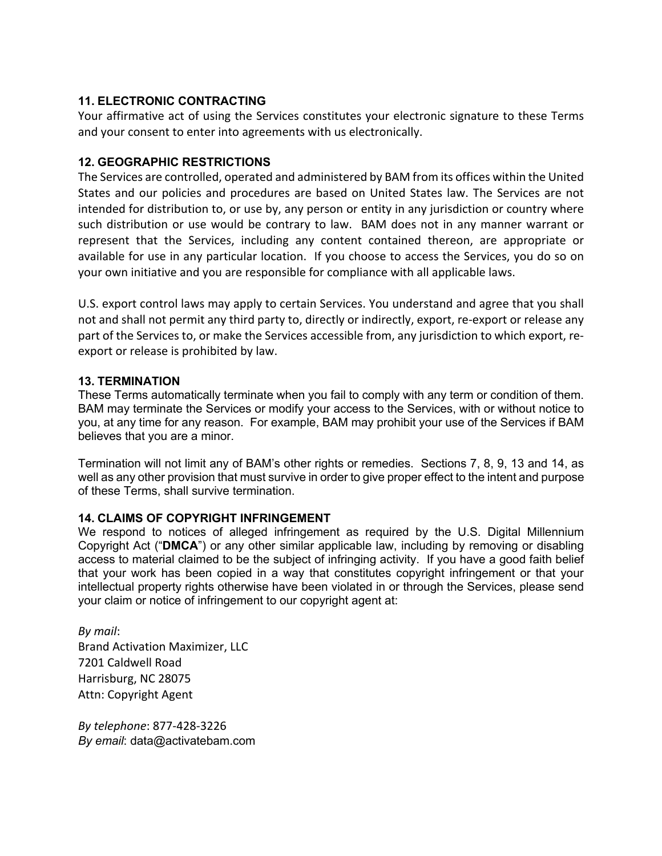## **11. ELECTRONIC CONTRACTING**

Your affirmative act of using the Services constitutes your electronic signature to these Terms and your consent to enter into agreements with us electronically.

## **12. GEOGRAPHIC RESTRICTIONS**

The Services are controlled, operated and administered by BAM from its offices within the United States and our policies and procedures are based on United States law. The Services are not intended for distribution to, or use by, any person or entity in any jurisdiction or country where such distribution or use would be contrary to law. BAM does not in any manner warrant or represent that the Services, including any content contained thereon, are appropriate or available for use in any particular location. If you choose to access the Services, you do so on your own initiative and you are responsible for compliance with all applicable laws.

U.S. export control laws may apply to certain Services. You understand and agree that you shall not and shall not permit any third party to, directly or indirectly, export, re-export or release any part of the Services to, or make the Services accessible from, any jurisdiction to which export, reexport or release is prohibited by law.

## **13. TERMINATION**

These Terms automatically terminate when you fail to comply with any term or condition of them. BAM may terminate the Services or modify your access to the Services, with or without notice to you, at any time for any reason. For example, BAM may prohibit your use of the Services if BAM believes that you are a minor.

Termination will not limit any of BAM's other rights or remedies. Sections 7, 8, 9, 13 and 14, as well as any other provision that must survive in order to give proper effect to the intent and purpose of these Terms, shall survive termination.

## **14. CLAIMS OF COPYRIGHT INFRINGEMENT**

We respond to notices of alleged infringement as required by the U.S. Digital Millennium Copyright Act ("**DMCA**") or any other similar applicable law, including by removing or disabling access to material claimed to be the subject of infringing activity. If you have a good faith belief that your work has been copied in a way that constitutes copyright infringement or that your intellectual property rights otherwise have been violated in or through the Services, please send your claim or notice of infringement to our copyright agent at:

*By mail*: Brand Activation Maximizer, LLC 7201 Caldwell Road Harrisburg, NC 28075 Attn: Copyright Agent

*By telephone*: 877-428-3226 *By email*: data@activatebam.com